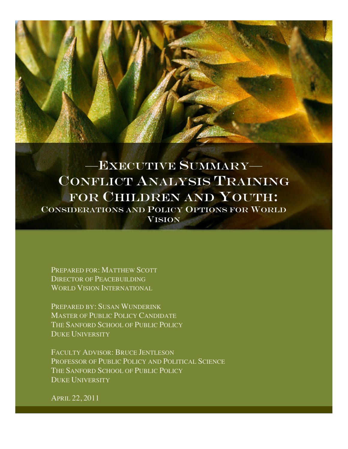

—EXECUTIVE SUMMARY— CONFLICT ANALYSIS TRAINING FOR CHILDREN AND YOUTH: CONSIDERATIONS AND POLICY OPTIONS FOR WORLD **VISION** 

PREPARED FOR: MATTHEW SCOTT DIRECTOR OF PEACEBUILDING WORLD VISION INTERNATIONAL

PREPARED BY: SUSAN WUNDERINK MASTER OF PUBLIC POLICY CANDIDATE THE SANFORD SCHOOL OF PUBLIC POLICY DUKE UNIVERSITY

FACULTY ADVISOR: BRUCE JENTLESON PROFESSOR OF PUBLIC POLICY AND POLITICAL SCIENCE THE SANFORD SCHOOL OF PUBLIC POLICY DUKE UNIVERSITY

APRIL 22, 2011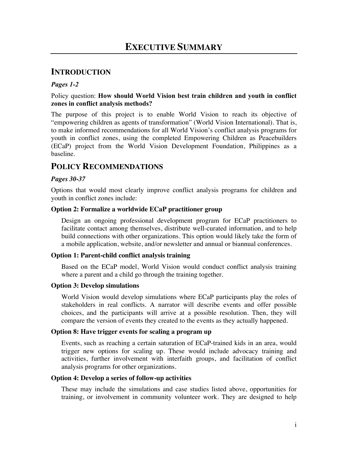## **INTRODUCTION**

#### *Pages 1-2*

#### Policy question: **How should World Vision best train children and youth in conflict zones in conflict analysis methods?**

The purpose of this project is to enable World Vision to reach its objective of "empowering children as agents of transformation" (World Vision International). That is, to make informed recommendations for all World Vision's conflict analysis programs for youth in conflict zones, using the completed Empowering Children as Peacebuilders (ECaP) project from the World Vision Development Foundation, Philippines as a baseline.

## **POLICY RECOMMENDATIONS**

#### *Pages 30-37*

Options that would most clearly improve conflict analysis programs for children and youth in conflict zones include:

#### **Option 2: Formalize a worldwide ECaP practitioner group**

Design an ongoing professional development program for ECaP practitioners to facilitate contact among themselves, distribute well-curated information, and to help build connections with other organizations. This option would likely take the form of a mobile application, website, and/or newsletter and annual or biannual conferences.

#### **Option 1: Parent-child conflict analysis training**

Based on the ECaP model, World Vision would conduct conflict analysis training where a parent and a child go through the training together.

#### **Option 3: Develop simulations**

World Vision would develop simulations where ECaP participants play the roles of stakeholders in real conflicts. A narrator will describe events and offer possible choices, and the participants will arrive at a possible resolution. Then, they will compare the version of events they created to the events as they actually happened.

#### **Option 8: Have trigger events for scaling a program up**

Events, such as reaching a certain saturation of ECaP-trained kids in an area, would trigger new options for scaling up. These would include advocacy training and activities, further involvement with interfaith groups, and facilitation of conflict analysis programs for other organizations.

#### **Option 4: Develop a series of follow-up activities**

These may include the simulations and case studies listed above, opportunities for training, or involvement in community volunteer work. They are designed to help